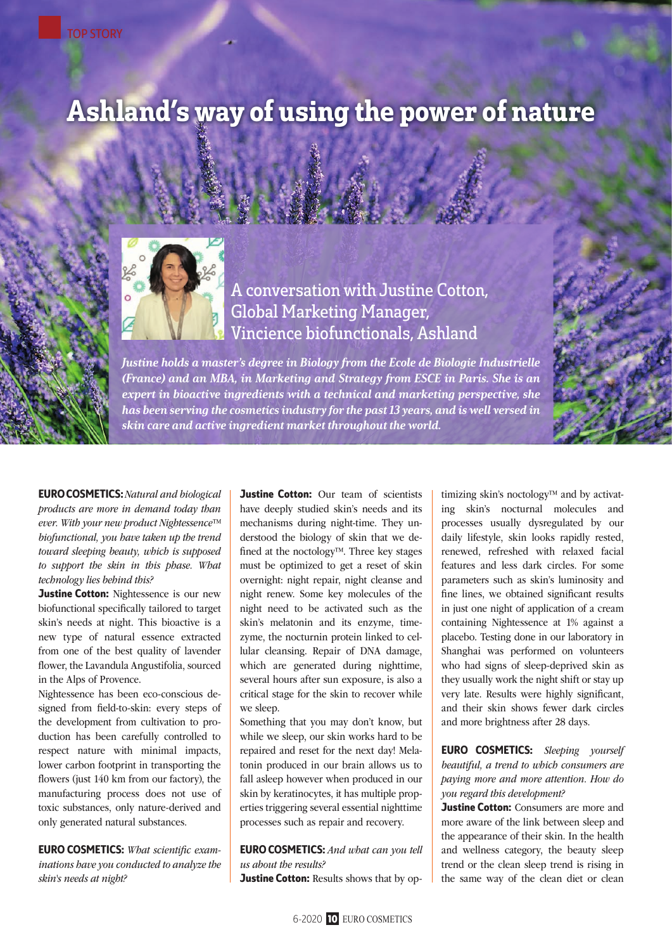# Ashland's way of using the power of nature



A conversation with Justine Cotton, Global Marketing Manager, Vincience biofunctionals, Ashland

Justine holds a master's degree in Biology from the Ecole de Biologie Industrielle (France) and an MBA, in Marketing and Strategy from ESCE in Paris. She is an expert in bioactive ingredients with a technical and marketing perspective, she has been serving the cosmetics industry for the past 13 years, and is well versed in skin care and active ingredient market throughout the world.

EUROCOSMETICS:*Natural and biological products are more in demand today than ever. With your new product Nightessence™ biofunctional, you have taken up the trend toward sleeping beauty, which is supposed to support the skin in this phase. What technology lies behind this?* 

**Justine Cotton:** Nightessence is our new biofunctional specifically tailored to target skin's needs at night. This bioactive is a new type of natural essence extracted from one of the best quality of lavender flower, the Lavandula Angustifolia, sourced in the Alps of Provence.

Nightessence has been eco-conscious designed from field-to-skin: every steps of the development from cultivation to production has been carefully controlled to respect nature with minimal impacts, lower carbon footprint in transporting the flowers (just 140 km from our factory), the manufacturing process does not use of toxic substances, only nature-derived and only generated natural substances.

EURO COSMETICS: *What scientific examinations have you conducted to analyze the skin's needs at night?* 

**Justine Cotton:** Our team of scientists have deeply studied skin's needs and its mechanisms during night-time. They understood the biology of skin that we defined at the noctology™. Three key stages must be optimized to get a reset of skin overnight: night repair, night cleanse and night renew. Some key molecules of the night need to be activated such as the skin's melatonin and its enzyme, timezyme, the nocturnin protein linked to cellular cleansing. Repair of DNA damage, which are generated during nighttime, several hours after sun exposure, is also a critical stage for the skin to recover while we sleep.

Something that you may don't know, but while we sleep, our skin works hard to be repaired and reset for the next day! Melatonin produced in our brain allows us to fall asleep however when produced in our skin by keratinocytes, it has multiple properties triggering several essential nighttime processes such as repair and recovery.

EUROCOSMETICS: *And what can you tell us about the results?* 

**Justine Cotton:** Results shows that by op-

timizing skin's noctology™ and by activating skin's nocturnal molecules and processes usually dysregulated by our daily lifestyle, skin looks rapidly rested, renewed, refreshed with relaxed facial features and less dark circles. For some parameters such as skin's luminosity and fine lines, we obtained significant results in just one night of application of a cream containing Nightessence at 1% against a placebo. Testing done in our laboratory in Shanghai was performed on volunteers who had signs of sleep-deprived skin as they usually work the night shift or stay up very late. Results were highly significant, and their skin shows fewer dark circles and more brightness after 28 days.

EURO COSMETICS: *Sleeping yourself beautiful, a trend to which consumers are paying more and more attention. How do you regard this development?* 

**Justine Cotton:** Consumers are more and more aware of the link between sleep and the appearance of their skin. In the health and wellness category, the beauty sleep trend or the clean sleep trend is rising in the same way of the clean diet or clean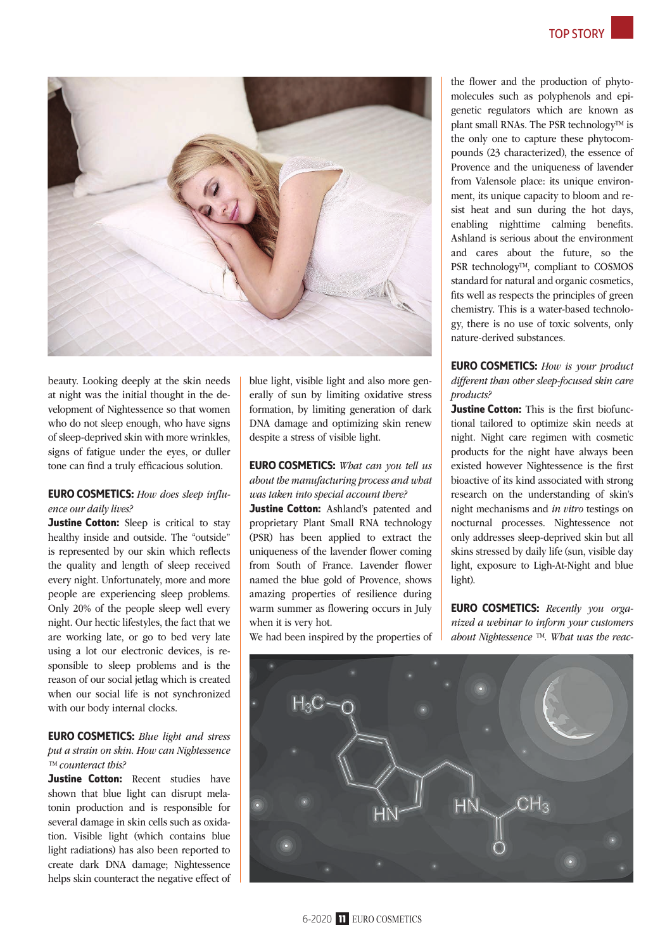

beauty. Looking deeply at the skin needs at night was the initial thought in the development of Nightessence so that women who do not sleep enough, who have signs of sleep-deprived skin with more wrinkles, signs of fatigue under the eyes, or duller tone can find a truly efficacious solution.

## EURO COSMETICS: *How does sleep influence our daily lives?*

**Justine Cotton:** Sleep is critical to stay healthy inside and outside. The "outside" is represented by our skin which reflects the quality and length of sleep received every night. Unfortunately, more and more people are experiencing sleep problems. Only 20% of the people sleep well every night. Our hectic lifestyles, the fact that we are working late, or go to bed very late using a lot our electronic devices, is responsible to sleep problems and is the reason of our social jetlag which is created when our social life is not synchronized with our body internal clocks.

## EURO COSMETICS: *Blue light and stress put a strain on skin. How can Nightessence ™ counteract this?*

Justine Cotton: Recent studies have shown that blue light can disrupt melatonin production and is responsible for several damage in skin cells such as oxidation. Visible light (which contains blue light radiations) has also been reported to create dark DNA damage; Nightessence helps skin counteract the negative effect of blue light, visible light and also more generally of sun by limiting oxidative stress formation, by limiting generation of dark DNA damage and optimizing skin renew despite a stress of visible light.

EURO COSMETICS: *What can you tell us about the manufacturing process and what was taken into special account there?* 

Justine Cotton: Ashland's patented and proprietary Plant Small RNA technology (PSR) has been applied to extract the uniqueness of the lavender flower coming from South of France. Lavender flower named the blue gold of Provence, shows amazing properties of resilience during warm summer as flowering occurs in July when it is very hot.

We had been inspired by the properties of

the flower and the production of phytomolecules such as polyphenols and epigenetic regulators which are known as plant small RNAs. The PSR technology™ is the only one to capture these phytocompounds (23 characterized), the essence of Provence and the uniqueness of lavender from Valensole place: its unique environment, its unique capacity to bloom and resist heat and sun during the hot days, enabling nighttime calming benefits. Ashland is serious about the environment and cares about the future, so the PSR technology™, compliant to COSMOS standard for natural and organic cosmetics, fits well as respects the principles of green chemistry. This is a water-based technology, there is no use of toxic solvents, only nature-derived substances.

EURO COSMETICS: *How is your product different than other sleep-focused skin care products?* 

**Justine Cotton:** This is the first biofunctional tailored to optimize skin needs at night. Night care regimen with cosmetic products for the night have always been existed however Nightessence is the first bioactive of its kind associated with strong research on the understanding of skin's night mechanisms and *in vitro* testings on nocturnal processes. Nightessence not only addresses sleep-deprived skin but all skins stressed by daily life (sun, visible day light, exposure to Ligh-At-Night and blue light).

EURO COSMETICS: *Recently you organized a webinar to inform your customers about Nightessence ™. What was the reac-*